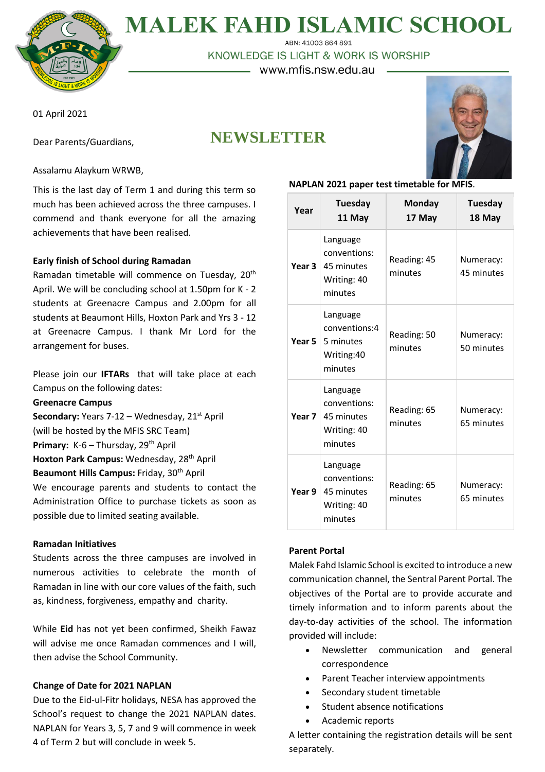

# **MALEK FAHD ISLAMIC SCHOOL**

ABN: 41003 864 891

KNOWLEDGE IS LIGHT & WORK IS WORSHIP

– www.mfis.nsw.edu.au -

01 April 2021

Dear Parents/Guardians,

## **NEWSLETTER**



Assalamu Alaykum WRWB,

This is the last day of Term 1 and during this term so much has been achieved across the three campuses. I commend and thank everyone for all the amazing achievements that have been realised.

#### **Early finish of School during Ramadan**

Ramadan timetable will commence on Tuesday, 20<sup>th</sup> April. We will be concluding school at 1.50pm for K - 2 students at Greenacre Campus and 2.00pm for all students at Beaumont Hills, Hoxton Park and Yrs 3 - 12 at Greenacre Campus. I thank Mr Lord for the arrangement for buses.

Please join our **IFTARs** that will take place at each Campus on the following dates:

#### **Greenacre Campus**

**Secondary:** Years 7-12 – Wednesday, 21<sup>st</sup> April (will be hosted by the MFIS SRC Team) **Primary: K-6 – Thursday, 29<sup>th</sup> April Hoxton Park Campus:** Wednesday, 28th April **Beaumont Hills Campus:** Friday, 30th April We encourage parents and students to contact the Administration Office to purchase tickets as soon as

possible due to limited seating available.

#### **Ramadan Initiatives**

Students across the three campuses are involved in numerous activities to celebrate the month of Ramadan in line with our core values of the faith, such as, kindness, forgiveness, empathy and charity.

While **Eid** has not yet been confirmed, Sheikh Fawaz will advise me once Ramadan commences and I will, then advise the School Community.

#### **Change of Date for 2021 NAPLAN**

Due to the Eid-ul-Fitr holidays, NESA has approved the School's request to change the 2021 NAPLAN dates. NAPLAN for Years 3, 5, 7 and 9 will commence in week 4 of Term 2 but will conclude in week 5.

#### **NAPLAN 2021 paper test timetable for MFIS**.

| Year   | Tuesday<br>11 May                                                | <b>Monday</b><br>17 May | Tuesday<br>18 May       |
|--------|------------------------------------------------------------------|-------------------------|-------------------------|
| Year 3 | Language<br>conventions:<br>45 minutes<br>Writing: 40<br>minutes | Reading: 45<br>minutes  | Numeracy:<br>45 minutes |
| Year 5 | Language<br>conventions:4<br>5 minutes<br>Writing:40<br>minutes  | Reading: 50<br>minutes  | Numeracy:<br>50 minutes |
| Year 7 | Language<br>conventions:<br>45 minutes<br>Writing: 40<br>minutes | Reading: 65<br>minutes  | Numeracy:<br>65 minutes |
| Year 9 | Language<br>conventions:<br>45 minutes<br>Writing: 40<br>minutes | Reading: 65<br>minutes  | Numeracy:<br>65 minutes |

#### **Parent Portal**

Malek Fahd Islamic School is excited to introduce a new communication channel, the Sentral Parent Portal. The objectives of the Portal are to provide accurate and timely information and to inform parents about the day-to-day activities of the school. The information provided will include:

- Newsletter communication and general correspondence
- Parent Teacher interview appointments
- Secondary student timetable
- Student absence notifications
- Academic reports

A letter containing the registration details will be sent separately.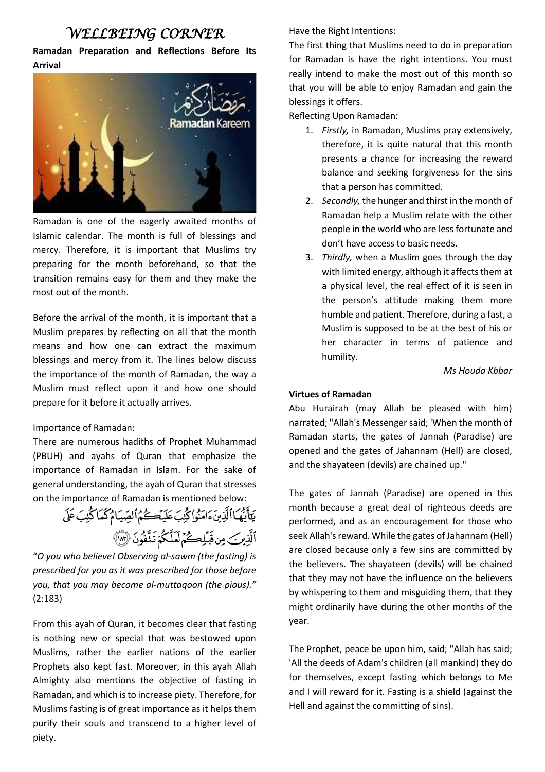### *WELLBEING CORNER*

**Ramadan Preparation and Reflections Before Its Arrival**



Ramadan is one of the eagerly awaited months of Islamic calendar. The month is full of blessings and mercy. Therefore, it is important that Muslims try preparing for the month beforehand, so that the transition remains easy for them and they make the most out of the month.

Before the arrival of the month, it is important that a Muslim prepares by reflecting on all that the month means and how one can extract the maximum blessings and mercy from it. The lines below discuss the importance of the month of Ramadan, the way a Muslim must reflect upon it and how one should prepare for it before it actually arrives.

#### Importance of Ramadan:

There are numerous hadiths of Prophet Muhammad (PBUH) and ayahs of Quran that emphasize the importance of Ramadan in Islam. For the sake of general understanding, the ayah of Quran that stresses on the importance of Ramadan is mentioned below:

يَتَأَيُّهَا الَّذِينَ ءَامَنُوا كُنِبَ عَلَيْكُمُ الْصِّيَامُ كَمَا كُنِبَ عَلَى ٱلَّذِينَ مِن قَبَلِكُمُ لَعَلَّكُمُ تَنَّقُونَ (٣١)

"*O you who believe! Observing al-sawm (the fasting) is prescribed for you as it was prescribed for those before you, that you may become al-muttaqoon (the pious)."* (2:183)

From this ayah of Quran, it becomes clear that fasting is nothing new or special that was bestowed upon Muslims, rather the earlier nations of the earlier Prophets also kept fast. Moreover, in this ayah Allah Almighty also mentions the objective of fasting in Ramadan, and which isto increase piety. Therefore, for Muslims fasting is of great importance as it helps them purify their souls and transcend to a higher level of piety.

Have the Right Intentions:

The first thing that Muslims need to do in preparation for Ramadan is have the right intentions. You must really intend to make the most out of this month so that you will be able to enjoy Ramadan and gain the blessings it offers.

Reflecting Upon Ramadan:

- 1. *Firstly,* in Ramadan, Muslims pray extensively, therefore, it is quite natural that this month presents a chance for increasing the reward balance and seeking forgiveness for the sins that a person has committed.
- 2. *Secondly,* the hunger and thirst in the month of Ramadan help a Muslim relate with the other people in the world who are less fortunate and don't have access to basic needs.
- 3. *Thirdly,* when a Muslim goes through the day with limited energy, although it affects them at a physical level, the real effect of it is seen in the person's attitude making them more humble and patient. Therefore, during a fast, a Muslim is supposed to be at the best of his or her character in terms of patience and humility.

*Ms Houda Kbbar*

#### **Virtues of Ramadan**

Abu Hurairah (may Allah be pleased with him) narrated; "Allah's Messenger said; 'When the month of Ramadan starts, the gates of Jannah (Paradise) are opened and the gates of Jahannam (Hell) are closed, and the shayateen (devils) are chained up."

The gates of Jannah (Paradise) are opened in this month because a great deal of righteous deeds are performed, and as an encouragement for those who seek Allah's reward. While the gates of Jahannam (Hell) are closed because only a few sins are committed by the believers. The shayateen (devils) will be chained that they may not have the influence on the believers by whispering to them and misguiding them, that they might ordinarily have during the other months of the year.

The Prophet, peace be upon him, said; "Allah has said; 'All the deeds of Adam's children (all mankind) they do for themselves, except fasting which belongs to Me and I will reward for it. Fasting is a shield (against the Hell and against the committing of sins).